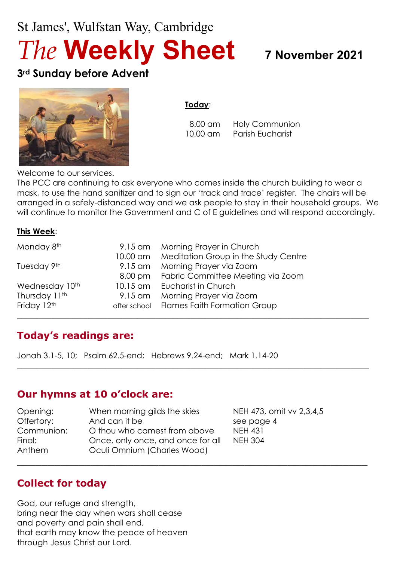# St James', Wulfstan Way, Cambridge *The* **Weekly Sheet 7 November <sup>2021</sup>**

# **3rd Sunday before Advent**



**Today**:

 8.00 am Holy Communion 10.00 am Parish Eucharist

Welcome to our services.

The PCC are continuing to ask everyone who comes inside the church building to wear a mask, to use the hand sanitizer and to sign our 'track and trace' register. The chairs will be arranged in a safely-distanced way and we ask people to stay in their household groups. We will continue to monitor the Government and C of E quidelines and will respond accordingly.

 $\_$  , and the set of the set of the set of the set of the set of the set of the set of the set of the set of the set of the set of the set of the set of the set of the set of the set of the set of the set of the set of th

#### **This Week**:

| Monday 8th     | 9.15 am      | Morning Prayer in Church             |
|----------------|--------------|--------------------------------------|
|                | 10.00 am     | Meditation Group in the Study Centre |
| Tuesday 9th    | 9.15 am      | Morning Prayer via Zoom              |
|                | 8.00 pm      | Fabric Committee Meeting via Zoom    |
| Wednesday 10th | 10.15 am     | Eucharist in Church                  |
| Thursday 11th  | 9.15 am      | Morning Prayer via Zoom              |
| Friday 12th    | after school | <b>Flames Faith Formation Group</b>  |
|                |              |                                      |

# **Today's readings are:**

Jonah 3.1-5, 10; Psalm 62.5-end; Hebrews 9.24-end; Mark 1.14-20

# **Our hymns at 10 o'clock are:**

| Opening:   | When morning gilds the skies      | NEH 473, omit vv 2,3,4,5 |
|------------|-----------------------------------|--------------------------|
| Offertory: | And can it be                     | see page 4               |
| Communion: | O thou who camest from above      | <b>NEH 431</b>           |
| Final:     | Once, only once, and once for all | <b>NEH 304</b>           |
| Anthem     | Oculi Omnium (Charles Wood)       |                          |
|            |                                   |                          |

# **Collect for today**

God, our refuge and strength, bring near the day when wars shall cease and poverty and pain shall end, that earth may know the peace of heaven through Jesus Christ our Lord.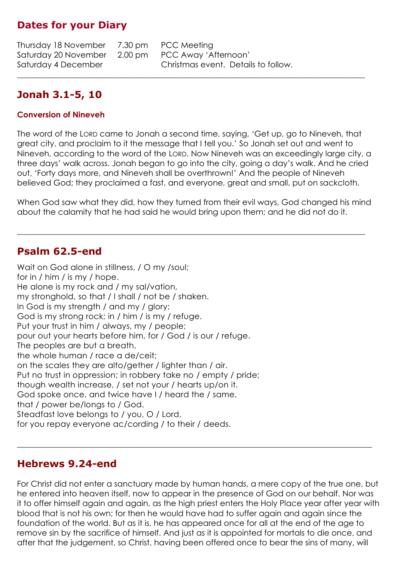# **Dates for your Diary**

Thursday 18 November 7.30 pm PCC Meeting Saturday 20 November 2.00 pm PCC Away 'Afternoon' Saturday 4 December Christmas event. Details to follow.

# **Jonah 3.1-5, 10**

#### **Conversion of Nineveh**

The word of the LORD came to Jonah a second time, saying, 'Get up, go to Nineveh, that great city, and proclaim to it the message that I tell you.' So Jonah set out and went to Nineveh, according to the word of the LORD. Now Nineveh was an exceedingly large city, a three days' walk across. Jonah began to go into the city, going a day's walk. And he cried out, 'Forty days more, and Nineveh shall be overthrown!' And the people of Nineveh believed God; they proclaimed a fast, and everyone, great and small, put on sackcloth.

 $\_$  , and the set of the set of the set of the set of the set of the set of the set of the set of the set of the set of the set of the set of the set of the set of the set of the set of the set of the set of the set of th

When God saw what they did, how they turned from their evil ways, God changed his mind about the calamity that he had said he would bring upon them; and he did not do it.

 $\_$  , and the set of the set of the set of the set of the set of the set of the set of the set of the set of the set of the set of the set of the set of the set of the set of the set of the set of the set of the set of th

# **Psalm 62.5-end**

Wait on God alone in stillness, / O my /soul; for in / him / is my / hope. He alone is my rock and / my sal/vation, my stronghold, so that / I shall / not be / shaken. In God is my strength / and my / glory; God is my strong rock; in / him / is my / refuge. Put your trust in him / always, my / people; pour out your hearts before him, for / God / is our / refuge. The peoples are but a breath, the whole human / race a de/ceit; on the scales they are alto/gether / lighter than / air. Put no trust in oppression; in robbery take no / empty / pride; though wealth increase, / set not your / hearts up/on it. God spoke once, and twice have I / heard the / same, that / power be/longs to / God. Steadfast love belongs to / you, O / Lord, for you repay everyone ac/cording / to their / deeds.

# **Hebrews 9.24-end**

For Christ did not enter a sanctuary made by human hands, a mere copy of the true one, but he entered into heaven itself, now to appear in the presence of God on our behalf. Nor was it to offer himself again and again, as the high priest enters the Holy Place year after year with blood that is not his own; for then he would have had to suffer again and again since the foundation of the world. But as it is, he has appeared once for all at the end of the age to remove sin by the sacrifice of himself. And just as it is appointed for mortals to die once, and after that the judgement, so Christ, having been offered once to bear the sins of many, will

\_\_\_\_\_\_\_\_\_\_\_\_\_\_\_\_\_\_\_\_\_\_\_\_\_\_\_\_\_\_\_\_\_\_\_\_\_\_\_\_\_\_\_\_\_\_\_\_\_\_\_\_\_\_\_\_\_\_\_\_\_\_\_\_\_\_\_\_\_\_\_\_\_\_\_\_\_\_\_\_\_\_\_\_\_\_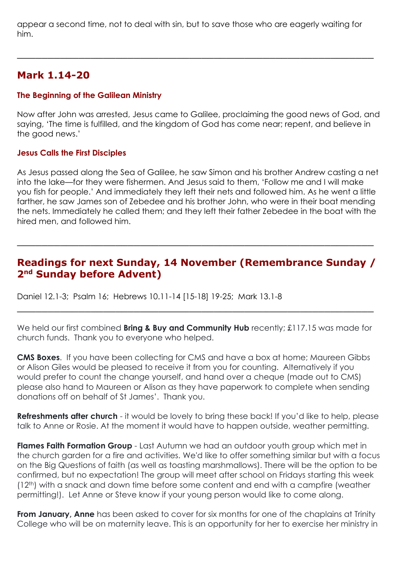appear a second time, not to deal with sin, but to save those who are eagerly waiting for him.

\_\_\_\_\_\_\_\_\_\_\_\_\_\_\_\_\_\_\_\_\_\_\_\_\_\_\_\_\_\_\_\_\_\_\_\_\_\_\_\_\_\_\_\_\_\_\_\_\_\_\_\_\_\_\_\_\_\_

# **Mark 1.14-20**

#### **The Beginning of the Galilean Ministry**

Now after John was arrested, Jesus came to Galilee, proclaiming the good news of God, and saying, 'The time is fulfilled, and the kingdom of God has come near; repent, and believe in the good news.'

### **Jesus Calls the First Disciples**

As Jesus passed along the Sea of Galilee, he saw Simon and his brother Andrew casting a net into the lake—for they were fishermen. And Jesus said to them, 'Follow me and I will make you fish for people.' And immediately they left their nets and followed him. As he went a little farther, he saw James son of Zebedee and his brother John, who were in their boat mending the nets. Immediately he called them; and they left their father Zebedee in the boat with the hired men, and followed him.

# **Readings for next Sunday, 14 November (Remembrance Sunday / 2nd Sunday before Advent)**

\_\_\_\_\_\_\_\_\_\_\_\_\_\_\_\_\_\_\_\_\_\_\_\_\_\_\_\_\_\_\_\_\_\_\_\_\_\_\_\_\_\_\_\_\_\_\_\_\_\_\_\_\_\_\_\_\_\_

Daniel 12.1-3; Psalm 16; Hebrews 10.11-14 [15-18] 19-25; Mark 13.1-8

We held our first combined **Bring & Buy and Community Hub** recently; £117.15 was made for church funds. Thank you to everyone who helped.

\_\_\_\_\_\_\_\_\_\_\_\_\_\_\_\_\_\_\_\_\_\_\_\_\_\_\_\_\_\_\_\_\_\_\_\_\_\_\_\_\_\_\_\_\_\_\_\_\_\_\_\_\_\_\_\_\_\_

**CMS Boxes**. If you have been collecting for CMS and have a box at home; Maureen Gibbs or Alison Giles would be pleased to receive it from you for counting. Alternatively if you would prefer to count the change yourself, and hand over a cheque (made out to CMS) please also hand to Maureen or Alison as they have paperwork to complete when sending donations off on behalf of St James'. Thank you.

**Refreshments after church** - it would be lovely to bring these back! If you'd like to help, please talk to Anne or Rosie. At the moment it would have to happen outside, weather permitting.

**Flames Faith Formation Group** - Last Autumn we had an outdoor youth group which met in the church garden for a fire and activities. We'd like to offer something similar but with a focus on the Big Questions of faith (as well as toasting marshmallows). There will be the option to be confirmed, but no expectation! The group will meet after school on Fridays starting this week (12th) with a snack and down time before some content and end with a campfire (weather permitting!). Let Anne or Steve know if your young person would like to come along.

**From January, Anne** has been asked to cover for six months for one of the chaplains at Trinity College who will be on maternity leave. This is an opportunity for her to exercise her ministry in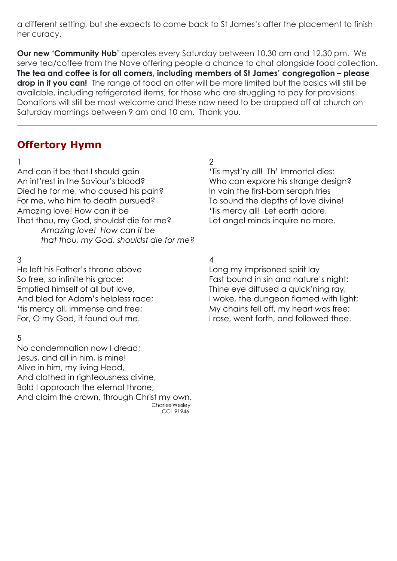a different setting, but she expects to come back to St James's after the placement to finish her curacy.

**Our new 'Community Hub'** operates every Saturday between 10.30 am and 12.30 pm. We serve tea/coffee from the Nave offering people a chance to chat alongside food collection**. The tea and coffee is for all comers, including members of St James' congregation – please drop in if you can!** The range of food on offer will be more limited but the basics will still be available, including refrigerated items, for those who are struggling to pay for provisions. Donations will still be most welcome and these now need to be dropped off at church on Saturday mornings between 9 am and 10 am. Thank you.

 $\_$  , and the set of the set of the set of the set of the set of the set of the set of the set of the set of the set of the set of the set of the set of the set of the set of the set of the set of the set of the set of th

## **Offertory Hymn**

#### $1$  2

And can it be that I should gain 'Tis myst'ry all! Th' Immortal dies: An int'rest in the Saviour's blood? Who can explore his strange design? Died he for me, who caused his pain? In vain the first-born seraph tries For me, who him to death pursued? To sound the depths of love divine! Amazing love! How can it be 'Tis mercy all! Let earth adore, That thou, my God, shouldst die for me? Let angel minds inquire no more. *Amazing love! How can it be that thou, my God, shouldst die for me?*

#### $3 \overline{4}$

He left his Father's throne above Long my imprisoned spirit lay Emptied himself of all but love, Thine eye diffused a quick'ning ray,

### 5

No condemnation now I dread; Jesus, and all in him, is mine! Alive in him, my living Head, And clothed in righteousness divine, Bold I approach the eternal throne, And claim the crown, through Christ my own. Charles Wesley CCL 91946

So free, so infinite his grace; The Solid Case of Fast bound in sin and nature's night; And bled for Adam's helpless race; I woke, the dungeon flamed with light; 'tis mercy all, immense and free; My chains fell off, my heart was free; For, O my God, it found out me. I rose, went forth, and followed thee.